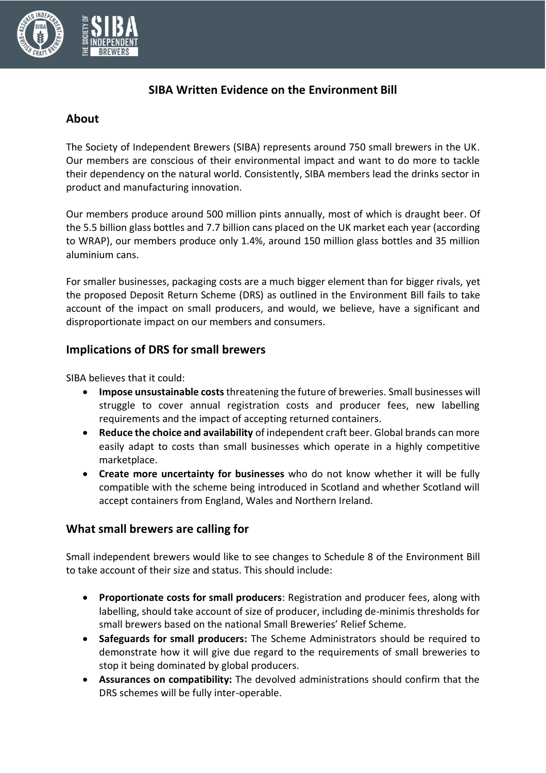

# **SIBA Written Evidence on the Environment Bill**

### **About**

The Society of Independent Brewers (SIBA) represents around 750 small brewers in the UK. Our members are conscious of their environmental impact and want to do more to tackle their dependency on the natural world. Consistently, SIBA members lead the drinks sector in product and manufacturing innovation.

Our members produce around 500 million pints annually, most of which is draught beer. Of the 5.5 billion glass bottles and 7.7 billion cans placed on the UK market each year (according to WRAP), our members produce only 1.4%, around 150 million glass bottles and 35 million aluminium cans.

For smaller businesses, packaging costs are a much bigger element than for bigger rivals, yet the proposed Deposit Return Scheme (DRS) as outlined in the Environment Bill fails to take account of the impact on small producers, and would, we believe, have a significant and disproportionate impact on our members and consumers.

# **Implications of DRS for small brewers**

SIBA believes that it could:

- **Impose unsustainable costs**threatening the future of breweries. Small businesses will struggle to cover annual registration costs and producer fees, new labelling requirements and the impact of accepting returned containers.
- **Reduce the choice and availability** of independent craft beer. Global brands can more easily adapt to costs than small businesses which operate in a highly competitive marketplace.
- **Create more uncertainty for businesses** who do not know whether it will be fully compatible with the scheme being introduced in Scotland and whether Scotland will accept containers from England, Wales and Northern Ireland.

### **What small brewers are calling for**

Small independent brewers would like to see changes to Schedule 8 of the Environment Bill to take account of their size and status. This should include:

- **Proportionate costs for small producers**: Registration and producer fees, along with labelling, should take account of size of producer, including de-minimis thresholds for small brewers based on the national Small Breweries' Relief Scheme.
- **Safeguards for small producers:** The Scheme Administrators should be required to demonstrate how it will give due regard to the requirements of small breweries to stop it being dominated by global producers.
- **Assurances on compatibility:** The devolved administrations should confirm that the DRS schemes will be fully inter-operable.